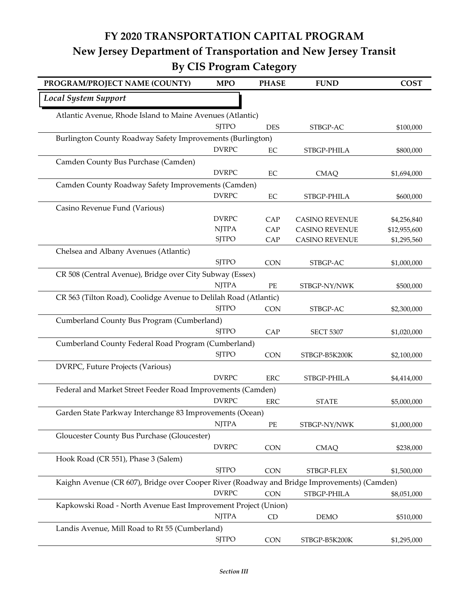## **FY 2020 TRANSPORTATION CAPITAL PROGRAM New Jersey Department of Transportation and New Jersey Transit By CIS Program Category**

| PROGRAM/PROJECT NAME (COUNTY)                                                               | <b>MPO</b>   | <b>PHASE</b> | <b>FUND</b>           | <b>COST</b>  |
|---------------------------------------------------------------------------------------------|--------------|--------------|-----------------------|--------------|
| <b>Local System Support</b>                                                                 |              |              |                       |              |
| Atlantic Avenue, Rhode Island to Maine Avenues (Atlantic)                                   |              |              |                       |              |
|                                                                                             | <b>SITPO</b> | <b>DES</b>   | STBGP-AC              | \$100,000    |
| Burlington County Roadway Safety Improvements (Burlington)                                  |              |              |                       |              |
|                                                                                             | <b>DVRPC</b> | $\rm EC$     | STBGP-PHILA           | \$800,000    |
| Camden County Bus Purchase (Camden)                                                         |              |              |                       |              |
|                                                                                             | <b>DVRPC</b> | EC           | <b>CMAQ</b>           | \$1,694,000  |
| Camden County Roadway Safety Improvements (Camden)                                          |              |              |                       |              |
|                                                                                             | <b>DVRPC</b> | $\rm EC$     | STBGP-PHILA           | \$600,000    |
| Casino Revenue Fund (Various)                                                               |              |              |                       |              |
|                                                                                             | <b>DVRPC</b> | CAP          | <b>CASINO REVENUE</b> | \$4,256,840  |
|                                                                                             | <b>NJTPA</b> | CAP          | <b>CASINO REVENUE</b> | \$12,955,600 |
|                                                                                             | <b>SJTPO</b> | CAP          | <b>CASINO REVENUE</b> | \$1,295,560  |
| Chelsea and Albany Avenues (Atlantic)                                                       |              |              |                       |              |
|                                                                                             | <b>SITPO</b> | <b>CON</b>   | STBGP-AC              | \$1,000,000  |
| CR 508 (Central Avenue), Bridge over City Subway (Essex)                                    |              |              |                       |              |
|                                                                                             | <b>NJTPA</b> | PE           | STBGP-NY/NWK          | \$500,000    |
| CR 563 (Tilton Road), Coolidge Avenue to Delilah Road (Atlantic)                            |              |              |                       |              |
|                                                                                             | <b>SJTPO</b> | <b>CON</b>   | STBGP-AC              | \$2,300,000  |
| Cumberland County Bus Program (Cumberland)                                                  |              |              |                       |              |
|                                                                                             | <b>SJTPO</b> | CAP          | <b>SECT 5307</b>      | \$1,020,000  |
| Cumberland County Federal Road Program (Cumberland)                                         |              |              |                       |              |
|                                                                                             | <b>SJTPO</b> | <b>CON</b>   | STBGP-B5K200K         | \$2,100,000  |
| DVRPC, Future Projects (Various)                                                            |              |              |                       |              |
|                                                                                             | <b>DVRPC</b> | ${\rm ERC}$  | STBGP-PHILA           | \$4,414,000  |
| Federal and Market Street Feeder Road Improvements (Camden)                                 | <b>DVRPC</b> |              |                       |              |
|                                                                                             |              | <b>ERC</b>   | <b>STATE</b>          | \$5,000,000  |
| Garden State Parkway Interchange 83 Improvements (Ocean)                                    |              |              |                       |              |
|                                                                                             | <b>NJTPA</b> | PE           | STBGP-NY/NWK          | \$1,000,000  |
| Gloucester County Bus Purchase (Gloucester)                                                 | <b>DVRPC</b> |              |                       |              |
|                                                                                             |              | <b>CON</b>   | <b>CMAQ</b>           | \$238,000    |
| Hook Road (CR 551), Phase 3 (Salem)                                                         |              |              |                       |              |
|                                                                                             | <b>SITPO</b> | <b>CON</b>   | STBGP-FLEX            | \$1,500,000  |
| Kaighn Avenue (CR 607), Bridge over Cooper River (Roadway and Bridge Improvements) (Camden) | <b>DVRPC</b> |              |                       |              |
|                                                                                             |              | <b>CON</b>   | STBGP-PHILA           | \$8,051,000  |
| Kapkowski Road - North Avenue East Improvement Project (Union)                              | <b>NJTPA</b> |              |                       |              |
|                                                                                             |              | CD           | <b>DEMO</b>           | \$510,000    |
| Landis Avenue, Mill Road to Rt 55 (Cumberland)                                              |              |              |                       |              |
|                                                                                             | <b>SJTPO</b> | <b>CON</b>   | STBGP-B5K200K         | \$1,295,000  |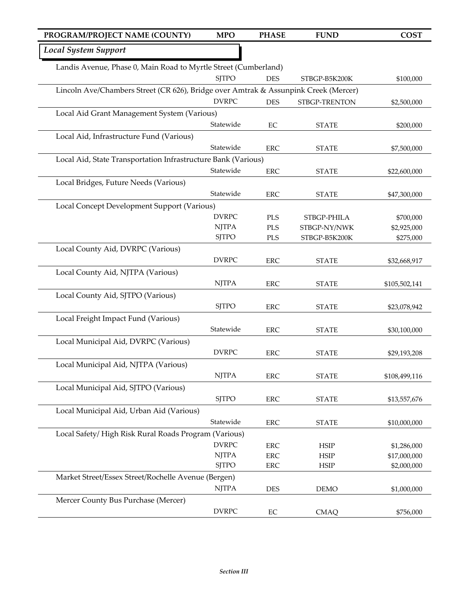| PROGRAM/PROJECT NAME (COUNTY)                                   | <b>MPO</b>                                                                          | <b>PHASE</b> | <b>FUND</b>   | <b>COST</b>   |  |
|-----------------------------------------------------------------|-------------------------------------------------------------------------------------|--------------|---------------|---------------|--|
| <b>Local System Support</b>                                     |                                                                                     |              |               |               |  |
| Landis Avenue, Phase 0, Main Road to Myrtle Street (Cumberland) |                                                                                     |              |               |               |  |
|                                                                 | <b>SITPO</b>                                                                        | <b>DES</b>   | STBGP-B5K200K | \$100,000     |  |
|                                                                 | Lincoln Ave/Chambers Street (CR 626), Bridge over Amtrak & Assunpink Creek (Mercer) |              |               |               |  |
|                                                                 | <b>DVRPC</b>                                                                        | <b>DES</b>   | STBGP-TRENTON | \$2,500,000   |  |
| Local Aid Grant Management System (Various)                     |                                                                                     |              |               |               |  |
|                                                                 | Statewide                                                                           | EC           | <b>STATE</b>  | \$200,000     |  |
| Local Aid, Infrastructure Fund (Various)                        |                                                                                     |              |               |               |  |
|                                                                 | Statewide                                                                           | <b>ERC</b>   | <b>STATE</b>  | \$7,500,000   |  |
| Local Aid, State Transportation Infrastructure Bank (Various)   |                                                                                     |              |               |               |  |
|                                                                 | Statewide                                                                           | <b>ERC</b>   | <b>STATE</b>  | \$22,600,000  |  |
| Local Bridges, Future Needs (Various)                           |                                                                                     |              |               |               |  |
|                                                                 | Statewide                                                                           | <b>ERC</b>   | <b>STATE</b>  | \$47,300,000  |  |
| Local Concept Development Support (Various)                     |                                                                                     |              |               |               |  |
|                                                                 | <b>DVRPC</b>                                                                        | PLS          | STBGP-PHILA   | \$700,000     |  |
|                                                                 | <b>NJTPA</b>                                                                        | <b>PLS</b>   | STBGP-NY/NWK  | \$2,925,000   |  |
|                                                                 | <b>SJTPO</b>                                                                        | PLS          | STBGP-B5K200K | \$275,000     |  |
| Local County Aid, DVRPC (Various)                               |                                                                                     |              |               |               |  |
|                                                                 | <b>DVRPC</b>                                                                        | <b>ERC</b>   | <b>STATE</b>  | \$32,668,917  |  |
| Local County Aid, NJTPA (Various)                               |                                                                                     |              |               |               |  |
|                                                                 | <b>NJTPA</b>                                                                        | <b>ERC</b>   | <b>STATE</b>  | \$105,502,141 |  |
| Local County Aid, SJTPO (Various)                               |                                                                                     |              |               |               |  |
|                                                                 | <b>SJTPO</b>                                                                        | <b>ERC</b>   | <b>STATE</b>  | \$23,078,942  |  |
| Local Freight Impact Fund (Various)                             |                                                                                     |              |               |               |  |
|                                                                 | Statewide                                                                           | <b>ERC</b>   | <b>STATE</b>  | \$30,100,000  |  |
| Local Municipal Aid, DVRPC (Various)                            |                                                                                     |              |               |               |  |
|                                                                 | <b>DVRPC</b>                                                                        | <b>ERC</b>   | <b>STATE</b>  | \$29,193,208  |  |
| Local Municipal Aid, NJTPA (Various)                            |                                                                                     |              |               |               |  |
|                                                                 | <b>NJTPA</b>                                                                        | <b>ERC</b>   | <b>STATE</b>  | \$108,499,116 |  |
| Local Municipal Aid, SJTPO (Various)                            |                                                                                     |              |               |               |  |
|                                                                 | <b>SJTPO</b>                                                                        | <b>ERC</b>   | <b>STATE</b>  | \$13,557,676  |  |
| Local Municipal Aid, Urban Aid (Various)                        |                                                                                     |              |               |               |  |
|                                                                 | Statewide                                                                           | <b>ERC</b>   | <b>STATE</b>  | \$10,000,000  |  |
| Local Safety/High Risk Rural Roads Program (Various)            |                                                                                     |              |               |               |  |
|                                                                 | <b>DVRPC</b>                                                                        | <b>ERC</b>   | <b>HSIP</b>   | \$1,286,000   |  |
|                                                                 | <b>NJTPA</b>                                                                        | <b>ERC</b>   | <b>HSIP</b>   | \$17,000,000  |  |
|                                                                 | <b>SJTPO</b>                                                                        | <b>ERC</b>   | <b>HSIP</b>   | \$2,000,000   |  |
| Market Street/Essex Street/Rochelle Avenue (Bergen)             |                                                                                     |              |               |               |  |
|                                                                 | <b>NJTPA</b>                                                                        | <b>DES</b>   | <b>DEMO</b>   | \$1,000,000   |  |
| Mercer County Bus Purchase (Mercer)                             |                                                                                     |              |               |               |  |
|                                                                 | <b>DVRPC</b>                                                                        | $\rm EC$     | <b>CMAQ</b>   | \$756,000     |  |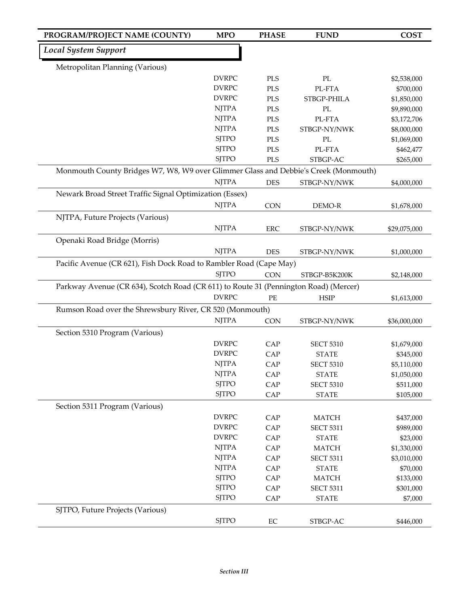| PROGRAM/PROJECT NAME (COUNTY)                                                        | <b>MPO</b>   | <b>PHASE</b> | <b>FUND</b>      | <b>COST</b>  |
|--------------------------------------------------------------------------------------|--------------|--------------|------------------|--------------|
| <b>Local System Support</b>                                                          |              |              |                  |              |
| Metropolitan Planning (Various)                                                      |              |              |                  |              |
|                                                                                      | <b>DVRPC</b> | <b>PLS</b>   | PL               | \$2,538,000  |
|                                                                                      | <b>DVRPC</b> | <b>PLS</b>   | PL-FTA           | \$700,000    |
|                                                                                      | <b>DVRPC</b> | PLS          | STBGP-PHILA      | \$1,850,000  |
|                                                                                      | <b>NJTPA</b> | <b>PLS</b>   | PL               | \$9,890,000  |
|                                                                                      | <b>NJTPA</b> | <b>PLS</b>   | PL-FTA           | \$3,172,706  |
|                                                                                      | <b>NJTPA</b> | PLS          | STBGP-NY/NWK     | \$8,000,000  |
|                                                                                      | <b>SJTPO</b> | PLS          | PL               | \$1,069,000  |
|                                                                                      | <b>SJTPO</b> | PLS          | PL-FTA           | \$462,477    |
|                                                                                      | <b>SJTPO</b> | PLS          | STBGP-AC         | \$265,000    |
| Monmouth County Bridges W7, W8, W9 over Glimmer Glass and Debbie's Creek (Monmouth)  |              |              |                  |              |
|                                                                                      | <b>NJTPA</b> | <b>DES</b>   | STBGP-NY/NWK     | \$4,000,000  |
| Newark Broad Street Traffic Signal Optimization (Essex)                              |              |              |                  |              |
|                                                                                      | <b>NJTPA</b> | <b>CON</b>   | DEMO-R           | \$1,678,000  |
| NJTPA, Future Projects (Various)                                                     |              |              |                  |              |
|                                                                                      | <b>NJTPA</b> | <b>ERC</b>   | STBGP-NY/NWK     | \$29,075,000 |
| Openaki Road Bridge (Morris)                                                         |              |              |                  |              |
|                                                                                      | <b>NJTPA</b> | <b>DES</b>   | STBGP-NY/NWK     | \$1,000,000  |
| Pacific Avenue (CR 621), Fish Dock Road to Rambler Road (Cape May)                   |              |              |                  |              |
|                                                                                      | <b>SJTPO</b> | <b>CON</b>   | STBGP-B5K200K    | \$2,148,000  |
| Parkway Avenue (CR 634), Scotch Road (CR 611) to Route 31 (Pennington Road) (Mercer) |              |              |                  |              |
|                                                                                      | <b>DVRPC</b> | PE           | <b>HSIP</b>      | \$1,613,000  |
|                                                                                      |              |              |                  |              |
| Rumson Road over the Shrewsbury River, CR 520 (Monmouth)                             | <b>NJTPA</b> |              |                  |              |
|                                                                                      |              | <b>CON</b>   | STBGP-NY/NWK     | \$36,000,000 |
| Section 5310 Program (Various)                                                       |              |              |                  |              |
|                                                                                      | <b>DVRPC</b> | CAP          | <b>SECT 5310</b> | \$1,679,000  |
|                                                                                      | <b>DVRPC</b> | CAP          | <b>STATE</b>     | \$345,000    |
|                                                                                      | <b>NJTPA</b> | CAP          | <b>SECT 5310</b> | \$5,110,000  |
|                                                                                      | <b>NJTPA</b> | CAP          | <b>STATE</b>     | \$1,050,000  |
|                                                                                      | <b>SJTPO</b> | CAP          | <b>SECT 5310</b> | \$511,000    |
|                                                                                      | <b>SJTPO</b> | CAP          | <b>STATE</b>     | \$105,000    |
| Section 5311 Program (Various)                                                       |              |              |                  |              |
|                                                                                      | <b>DVRPC</b> | CAP          | <b>MATCH</b>     | \$437,000    |
|                                                                                      | <b>DVRPC</b> | CAP          | <b>SECT 5311</b> | \$989,000    |
|                                                                                      | <b>DVRPC</b> | CAP          | <b>STATE</b>     | \$23,000     |
|                                                                                      | <b>NJTPA</b> | CAP          | <b>MATCH</b>     | \$1,330,000  |
|                                                                                      | <b>NJTPA</b> | CAP          | <b>SECT 5311</b> | \$3,010,000  |
|                                                                                      | <b>NJTPA</b> | CAP          | <b>STATE</b>     | \$70,000     |
|                                                                                      | <b>SJTPO</b> | CAP          | <b>MATCH</b>     | \$133,000    |
|                                                                                      | <b>SJTPO</b> | CAP          | <b>SECT 5311</b> | \$301,000    |
|                                                                                      | <b>SJTPO</b> | CAP          | <b>STATE</b>     | \$7,000      |
| SJTPO, Future Projects (Various)                                                     |              |              |                  |              |
|                                                                                      | <b>SJTPO</b> | $\rm EC$     | STBGP-AC         | \$446,000    |